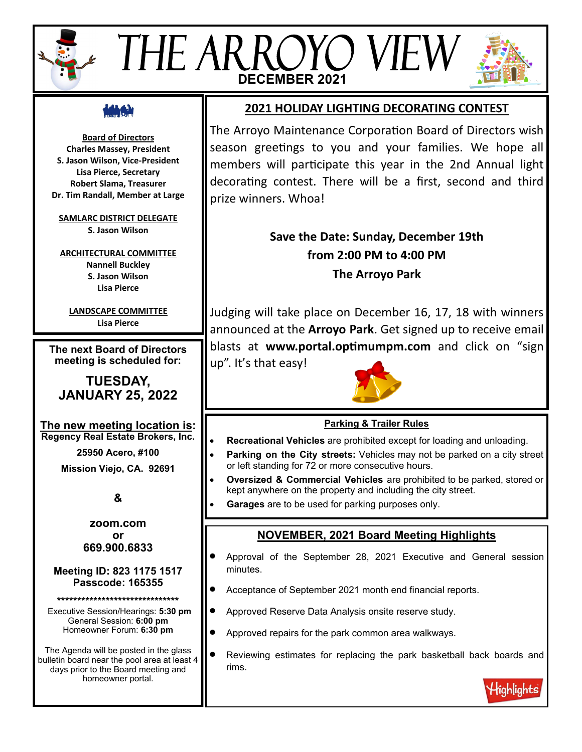# THE ARROYO VIE **DECEMBER 2021**



**Board of Directors Charles Massey, President S. Jason Wilson, Vice-President Lisa Pierce, Secretary Robert Slama, Treasurer Dr. Tim Randall, Member at Large**

**SAMLARC DISTRICT DELEGATE S. Jason Wilson**

**ARCHITECTURAL COMMITTEE Nannell Buckley S. Jason Wilson Lisa Pierce**

**LANDSCAPE COMMITTEE Lisa Pierce**

**The next Board of Directors meeting is scheduled for:**

# **TUESDAY, JANUARY 25, 2022**

**The new meeting location is: Regency Real Estate Brokers, Inc.**

**25950 Acero, #100**

**Mission Viejo, CA. 92691**

**&**

**zoom.com or 669.900.6833**

#### **Meeting ID: 823 1175 1517 Passcode: 165355**

**\*\*\*\*\*\*\*\*\*\*\*\*\*\*\*\*\*\*\*\*\*\*\*\*\*\*\*\*\*\***

Executive Session/Hearings: **5:30 pm** General Session: **6:00 pm** Homeowner Forum: **6:30 pm**

The Agenda will be posted in the glass bulletin board near the pool area at least 4 days prior to the Board meeting and homeowner portal.

# **2021 HOLIDAY LIGHTING DECORATING CONTEST**

The Arroyo Maintenance Corporation Board of Directors wish season greetings to you and your families. We hope all members will participate this year in the 2nd Annual light decorating contest. There will be a first, second and third prize winners. Whoa!

# **Save the Date: Sunday, December 19th from 2:00 PM to 4:00 PM The Arroyo Park**

Judging will take place on December 16, 17, 18 with winners announced at the **Arroyo Park**. Get signed up to receive email blasts at **www.portal.optimumpm.com** and click on "sign up". It's that easy!



# **Parking & Trailer Rules**

- **Recreational Vehicles** are prohibited except for loading and unloading.
- **Parking on the City streets:** Vehicles may not be parked on a city street or left standing for 72 or more consecutive hours.
- **Oversized & Commercial Vehicles** are prohibited to be parked, stored or kept anywhere on the property and including the city street.
- **Garages** are to be used for parking purposes only.

# **NOVEMBER, 2021 Board Meeting Highlights**

- Approval of the September 28, 2021 Executive and General session minutes.
- Acceptance of September 2021 month end financial reports.
- Approved Reserve Data Analysis onsite reserve study.
- Approved repairs for the park common area walkways.
- Reviewing estimates for replacing the park basketball back boards and rims.